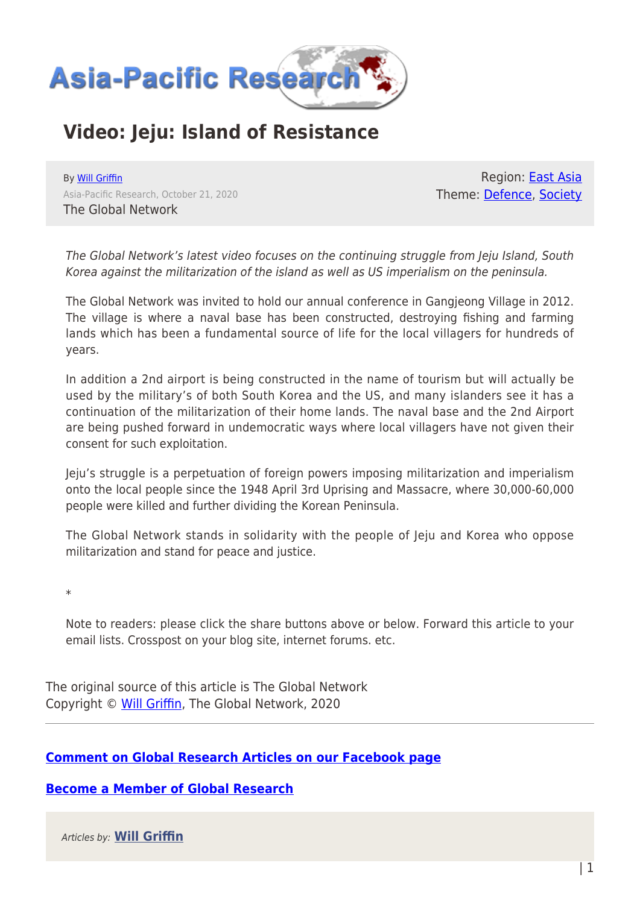

## **Video: Jeju: Island of Resistance**

By [Will Griffin](https://www.asia-pacificresearch.com/author/will-griffin) Asia-Pacific Research, October 21, 2020 The Global Network

Region: **East Asia** Theme: [Defence,](https://www.asia-pacificresearch.com/theme/defence) [Society](https://www.asia-pacificresearch.com/theme/society)

The Global Network's latest video focuses on the continuing struggle from Jeju Island, South Korea against the militarization of the island as well as US imperialism on the peninsula.

The Global Network was invited to hold our annual conference in Gangjeong Village in 2012. The village is where a naval base has been constructed, destroying fishing and farming lands which has been a fundamental source of life for the local villagers for hundreds of years.

In addition a 2nd airport is being constructed in the name of tourism but will actually be used by the military's of both South Korea and the US, and many islanders see it has a continuation of the militarization of their home lands. The naval base and the 2nd Airport are being pushed forward in undemocratic ways where local villagers have not given their consent for such exploitation.

Jeju's struggle is a perpetuation of foreign powers imposing militarization and imperialism onto the local people since the 1948 April 3rd Uprising and Massacre, where 30,000-60,000 people were killed and further dividing the Korean Peninsula.

The Global Network stands in solidarity with the people of Jeju and Korea who oppose militarization and stand for peace and justice.

\*

Note to readers: please click the share buttons above or below. Forward this article to your email lists. Crosspost on your blog site, internet forums. etc.

The original source of this article is The Global Network Copyright © [Will Griffin](https://www.asia-pacificresearch.com/author/will-griffin), The Global Network, 2020

## **[Comment on Global Research Articles on our Facebook page](https://www.facebook.com/GlobalResearchCRG)**

**[Become a Member of Global Research](https://store.globalresearch.ca/member/)**

Articles by: **[Will Griffin](https://www.asia-pacificresearch.com/author/will-griffin)**